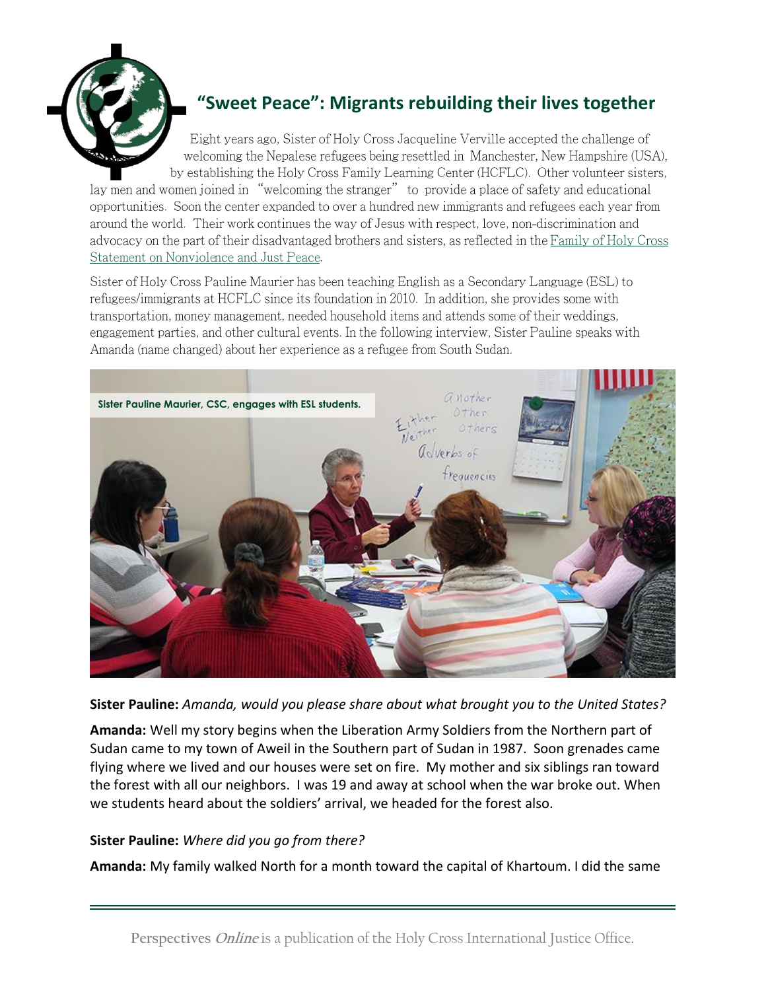

# **"Sweet Peace": Migrants rebuilding their lives together**

Eight years ago, Sister of Holy Cross Jacqueline Verville accepted the challenge of welcoming the Nepalese refugees being resettled in Manchester, New Hampshire (USA), by establishing the Holy Cross Family Learning Center (HCFLC). Other volunteer sisters,

lay men and women joined in "welcoming the stranger" to provide a place of safety and educational opportunities. Soon the center expanded to over a hundred new immigrants and refugees each year from around the world. Their work continues the way of Jesus with respect, love, non-discrimination and advocacy on the part of their disadvantaged brothers and sisters, as reflected in the Family of Holy Cross Statement on Nonviolence and Just Peace.

Sister of Holy Cross Pauline Maurier has been teaching English as a Secondary Language (ESL) to refugees/immigrants at HCFLC since its foundation in 2010. In addition, she provides some with transportation, money management, needed household items and attends some of their weddings, engagement parties, and other cultural events. In the following interview, Sister Pauline speaks with Amanda (name changed) about her experience as a refugee from South Sudan.



**Sister Pauline:** *Amanda, would you please share about what brought you to the United States?* 

**Amanda:** Well my story begins when the Liberation Army Soldiers from the Northern part of Sudan came to my town of Aweil in the Southern part of Sudan in 1987. Soon grenades came flying where we lived and our houses were set on fire. My mother and six siblings ran toward the forest with all our neighbors. I was 19 and away at school when the war broke out. When we students heard about the soldiers' arrival, we headed for the forest also.

## **Sister Pauline:** *Where did you go from there?*

**Amanda:** My family walked North for a month toward the capital of Khartoum. I did the same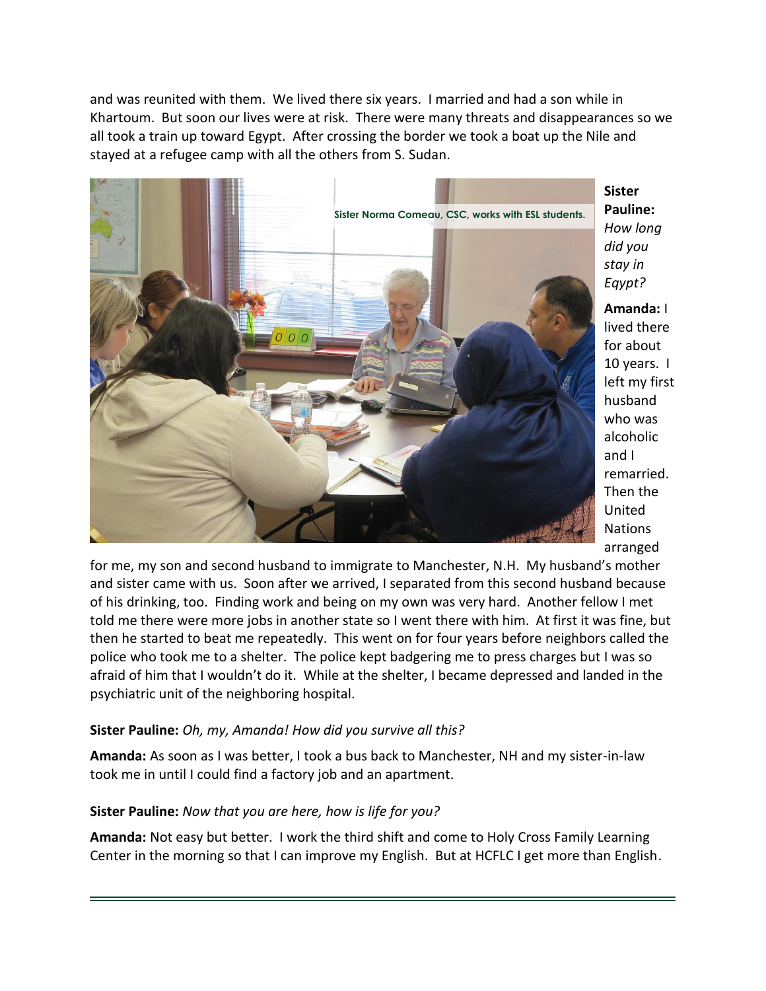and was reunited with them. We lived there six years. I married and had a son while in Khartoum. But soon our lives were at risk. There were many threats and disappearances so we all took a train up toward Egypt. After crossing the border we took a boat up the Nile and stayed at a refugee camp with all the others from S. Sudan.



**Sister Pauline:** *How long did you stay in Eqypt?*

**Amanda:** I lived there for about 10 years. I left my first husband who was alcoholic and I remarried. Then the United Nations arranged

for me, my son and second husband to immigrate to Manchester, N.H. My husband's mother and sister came with us. Soon after we arrived, I separated from this second husband because of his drinking, too. Finding work and being on my own was very hard. Another fellow I met told me there were more jobs in another state so I went there with him. At first it was fine, but then he started to beat me repeatedly. This went on for four years before neighbors called the police who took me to a shelter. The police kept badgering me to press charges but I was so afraid of him that I wouldn't do it. While at the shelter, I became depressed and landed in the psychiatric unit of the neighboring hospital.

### **Sister Pauline:** *Oh, my, Amanda! How did you survive all this?*

**Amanda:** As soon as I was better, I took a bus back to Manchester, NH and my sister-in-law took me in until I could find a factory job and an apartment.

#### **Sister Pauline:** *Now that you are here, how is life for you?*

**Amanda:** Not easy but better. I work the third shift and come to Holy Cross Family Learning Center in the morning so that I can improve my English. But at HCFLC I get more than English.